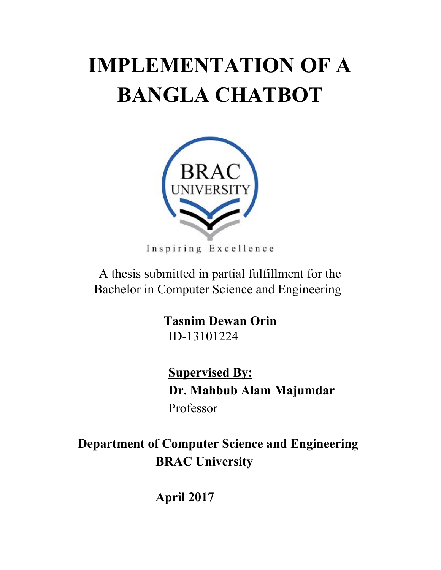# <span id="page-0-0"></span>**IMPLEMENTATION OF A BANGLA CHATBOT**



Inspiring Excellence

A thesis submitted in partial fulfillment for the Bachelor in Computer Science and Engineering

> **Tasnim Dewan Orin** ID-13101224

 **Supervised By: Dr. Mahbub Alam Majumdar** Professor

 **Department of Computer Science and Engineering BRAC University**

**April 2017**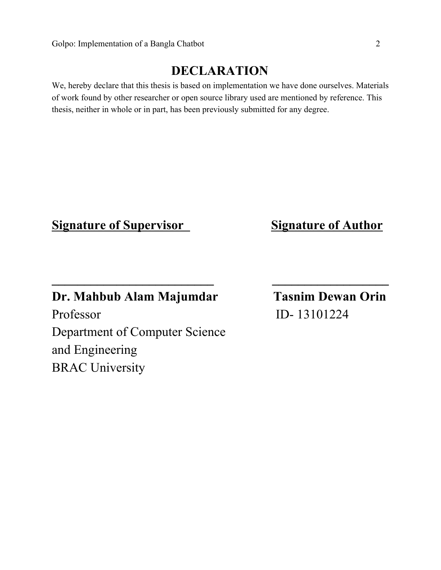### **DECLARATION**

<span id="page-1-0"></span>We, hereby declare that this thesis is based on implementation we have done ourselves. Materials of work found by other researcher or open source library used are mentioned by reference. This thesis, neither in whole or in part, has been previously submitted for any degree.

**\_\_\_\_\_\_\_\_\_\_\_\_\_\_\_\_\_\_\_\_\_\_\_\_\_ \_\_\_\_\_\_\_\_\_\_\_\_\_\_\_\_\_\_**

### **<u>Signature of Supervisor</u>** *Signature of Author*

### **Dr. Mahbub Alam Majumdar Tasnim Dewan Orin**

Professor ID- 13101224 Department of Computer Science and Engineering BRAC University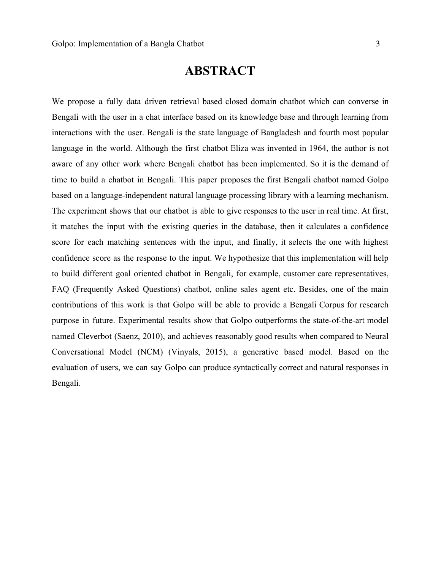### **ABSTRACT**

<span id="page-2-0"></span>We propose a fully data driven retrieval based closed domain chatbot which can converse in Bengali with the user in a chat interface based on its knowledge base and through learning from interactions with the user. Bengali is the state language of Bangladesh and fourth most popular language in the world. Although the first chatbot Eliza was invented in 1964, the author is not aware of any other work where Bengali chatbot has been implemented. So it is the demand of time to build a chatbot in Bengali. This paper proposes the first Bengali chatbot named Golpo based on a language-independent natural language processing library with a learning mechanism. The experiment shows that our chatbot is able to give responses to the user in real time. At first, it matches the input with the existing queries in the database, then it calculates a confidence score for each matching sentences with the input, and finally, it selects the one with highest confidence score as the response to the input. We hypothesize that this implementation will help to build different goal oriented chatbot in Bengali, for example, customer care representatives, FAQ (Frequently Asked Questions) chatbot, online sales agent etc. Besides, one of the main contributions of this work is that Golpo will be able to provide a Bengali Corpus for research purpose in future. Experimental results show that Golpo outperforms the state-of-the-art model named Cleverbot (Saenz, 2010), and achieves reasonably good results when compared to Neural Conversational Model (NCM) (Vinyals, 2015), a generative based model. Based on the evaluation of users, we can say Golpo can produce syntactically correct and natural responses in Bengali.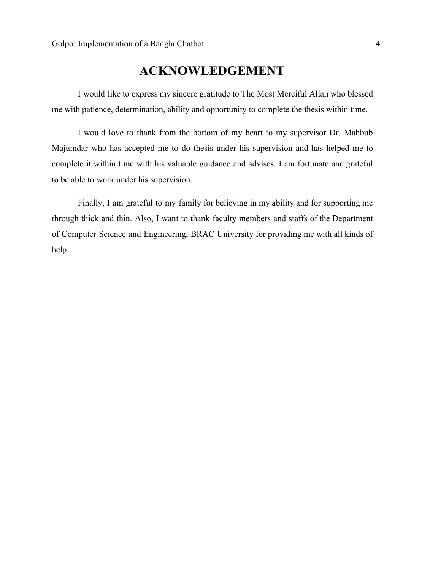### **ACKNOWLEDGEMENT**

<span id="page-3-0"></span>I would like to express my sincere gratitude to The Most Merciful Allah who blessed me with patience, determination, ability and opportunity to complete the thesis within time.

I would love to thank from the bottom of my heart to my supervisor Dr. Mahbub Majumdar who has accepted me to do thesis under his supervision and has helped me to complete it within time with his valuable guidance and advises. I am fortunate and grateful to be able to work under his supervision.

Finally, I am grateful to my family for believing in my ability and for supporting me through thick and thin. Also, I want to thank faculty members and staffs of the Department of Computer Science and Engineering, BRAC University for providing me with all kinds of help.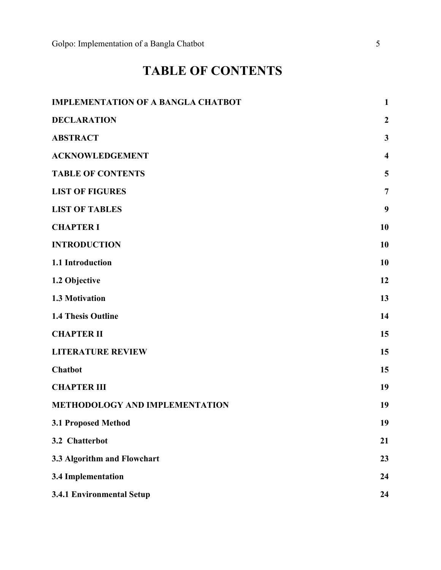## **TABLE OF CONTENTS**

<span id="page-4-0"></span>

| <b>IMPLEMENTATION OF A BANGLA CHATBOT</b> | $\mathbf{1}$            |
|-------------------------------------------|-------------------------|
| <b>DECLARATION</b>                        | $\boldsymbol{2}$        |
| <b>ABSTRACT</b>                           | $\mathbf{3}$            |
| <b>ACKNOWLEDGEMENT</b>                    | $\overline{\mathbf{4}}$ |
| <b>TABLE OF CONTENTS</b>                  | 5                       |
| <b>LIST OF FIGURES</b>                    | $\overline{7}$          |
| <b>LIST OF TABLES</b>                     | 9                       |
| <b>CHAPTER I</b>                          | 10                      |
| <b>INTRODUCTION</b>                       | 10                      |
| 1.1 Introduction                          | 10                      |
| 1.2 Objective                             | 12                      |
| 1.3 Motivation                            | 13                      |
| <b>1.4 Thesis Outline</b>                 | 14                      |
| <b>CHAPTER II</b>                         | 15                      |
| <b>LITERATURE REVIEW</b>                  | 15                      |
| <b>Chatbot</b>                            | 15                      |
| <b>CHAPTER III</b>                        | 19                      |
| <b>METHODOLOGY AND IMPLEMENTATION</b>     | 19                      |
| 3.1 Proposed Method                       | 19                      |
| 3.2 Chatterbot                            | 21                      |
| 3.3 Algorithm and Flowchart               | 23                      |
| <b>3.4 Implementation</b>                 | 24                      |
| 3.4.1 Environmental Setup                 | 24                      |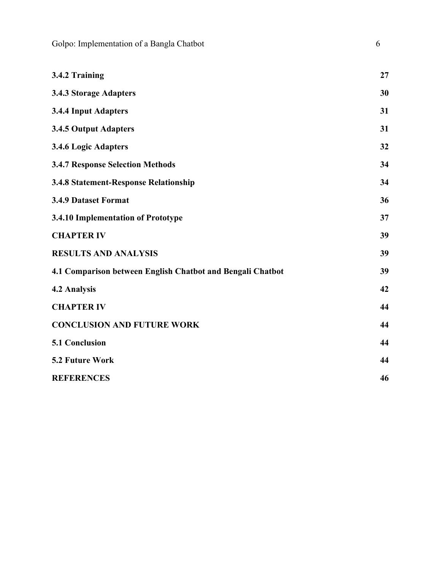Golpo: Implementation of a Bangla Chatbot 6 6

| 3.4.2 Training                                             | 27 |
|------------------------------------------------------------|----|
| 3.4.3 Storage Adapters                                     | 30 |
| <b>3.4.4 Input Adapters</b>                                | 31 |
| 3.4.5 Output Adapters                                      | 31 |
| 3.4.6 Logic Adapters                                       | 32 |
| <b>3.4.7 Response Selection Methods</b>                    | 34 |
| <b>3.4.8 Statement-Response Relationship</b>               | 34 |
| <b>3.4.9 Dataset Format</b>                                | 36 |
| 3.4.10 Implementation of Prototype                         | 37 |
| <b>CHAPTER IV</b>                                          | 39 |
| <b>RESULTS AND ANALYSIS</b>                                | 39 |
| 4.1 Comparison between English Chatbot and Bengali Chatbot | 39 |
| 4.2 Analysis                                               | 42 |
| <b>CHAPTER IV</b>                                          | 44 |
| <b>CONCLUSION AND FUTURE WORK</b>                          | 44 |
| 5.1 Conclusion                                             | 44 |
| 5.2 Future Work                                            | 44 |
| <b>REFERENCES</b>                                          | 46 |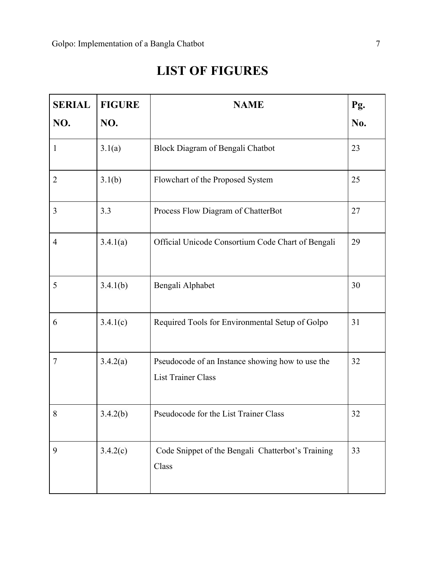## **LIST OF FIGURES**

<span id="page-6-0"></span>

| <b>SERIAL</b>  | <b>FIGURE</b> | <b>NAME</b>                                                                   |     |
|----------------|---------------|-------------------------------------------------------------------------------|-----|
| NO.            | NO.           |                                                                               | No. |
| $\mathbf{1}$   | 3.1(a)        | Block Diagram of Bengali Chatbot                                              | 23  |
| $\overline{2}$ | 3.1(b)        | Flowchart of the Proposed System                                              | 25  |
| 3              | 3.3           | Process Flow Diagram of ChatterBot                                            | 27  |
| $\overline{4}$ | 3.4.1(a)      | Official Unicode Consortium Code Chart of Bengali                             | 29  |
| 5              | 3.4.1(b)      | Bengali Alphabet                                                              | 30  |
| 6              | 3.4.1(c)      | Required Tools for Environmental Setup of Golpo                               | 31  |
| $\overline{7}$ | 3.4.2(a)      | Pseudocode of an Instance showing how to use the<br><b>List Trainer Class</b> | 32  |
| 8              | 3.4.2(b)      | Pseudocode for the List Trainer Class                                         | 32  |
| 9              | 3.4.2(c)      | Code Snippet of the Bengali Chatterbot's Training<br>Class                    | 33  |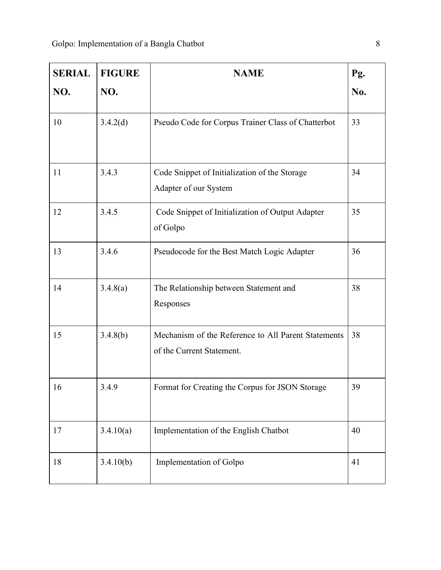| <b>SERIAL</b> | <b>FIGURE</b> | <b>NAME</b><br>Pg.                                                               |     |
|---------------|---------------|----------------------------------------------------------------------------------|-----|
| NO.           | NO.           |                                                                                  | No. |
| 10            | 3.4.2(d)      | Pseudo Code for Corpus Trainer Class of Chatterbot                               | 33  |
| 11            | 3.4.3         | Code Snippet of Initialization of the Storage<br>Adapter of our System           | 34  |
| 12            | 3.4.5         | Code Snippet of Initialization of Output Adapter<br>of Golpo                     | 35  |
| 13            | 3.4.6         | Pseudocode for the Best Match Logic Adapter                                      | 36  |
| 14            | 3.4.8(a)      | The Relationship between Statement and<br>Responses                              | 38  |
| 15            | 3.4.8(b)      | Mechanism of the Reference to All Parent Statements<br>of the Current Statement. | 38  |
| 16            | 3.4.9         | Format for Creating the Corpus for JSON Storage                                  | 39  |
| 17            | 3.4.10(a)     | Implementation of the English Chatbot                                            | 40  |
| 18            | 3.4.10(b)     | Implementation of Golpo                                                          | 41  |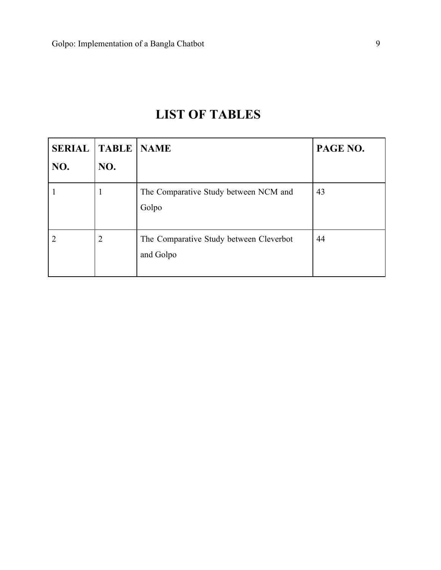## **LIST OF TABLES**

<span id="page-8-0"></span>

| <b>SERIAL</b> | <b>TABLE</b>   | <b>NAME</b>                                          | PAGE NO. |
|---------------|----------------|------------------------------------------------------|----------|
| NO.           | NO.            |                                                      |          |
|               | 1              | The Comparative Study between NCM and<br>Golpo       | 43       |
| ာ             | $\overline{2}$ | The Comparative Study between Cleverbot<br>and Golpo | 44       |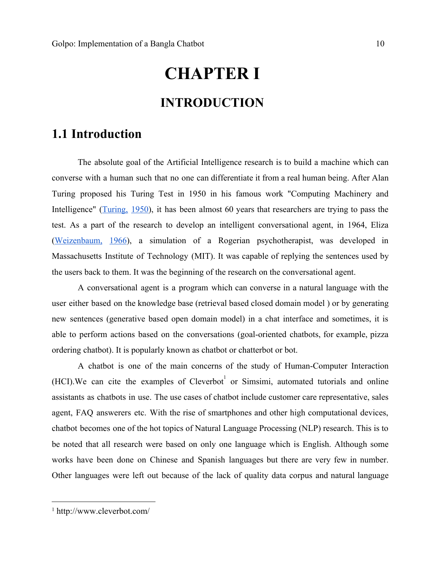# **CHAPTER I INTRODUCTION**

### <span id="page-9-2"></span><span id="page-9-1"></span><span id="page-9-0"></span>**1.1 Introduction**

The absolute goal of the Artificial Intelligence research is to build a machine which can converse with a human such that no one can differentiate it from a real human being. After Alan Turing proposed his Turing Test in 1950 in his famous work "Computing Machinery and Intelligence" [\(Turing,](#page-45-0) 1950), it has been almost 60 years that researchers are trying to pass the test. As a part of the research to develop an intelligent conversational agent, in 1964, Eliza ([Weizenbaum,](#page-45-0) 1966), a simulation of a Rogerian psychotherapist, was developed in Massachusetts Institute of Technology (MIT). It was capable of replying the sentences used by the users back to them. It was the beginning of the research on the conversational agent.

A conversational agent is a program which can converse in a natural language with the user either based on the knowledge base (retrieval based closed domain model ) or by generating new sentences (generative based open domain model) in a chat interface and sometimes, it is able to perform actions based on the conversations (goal-oriented chatbots, for example, pizza ordering chatbot). It is popularly known as chatbot or chatterbot or bot.

A chatbot is one of the main concerns of the study of Human-Computer Interaction  $(HCI)$ . We can cite the examples of  $Cleverbot<sup>1</sup>$  or Simsimi, automated tutorials and online assistants as chatbots in use. The use cases of chatbot include customer care representative, sales agent, FAQ answerers etc. With the rise of smartphones and other high computational devices, chatbot becomes one of the hot topics of Natural Language Processing (NLP) research. This is to be noted that all research were based on only one language which is English. Although some works have been done on Chinese and Spanish languages but there are very few in number. Other languages were left out because of the lack of quality data corpus and natural language

<sup>1</sup> http://www.cleverbot.com/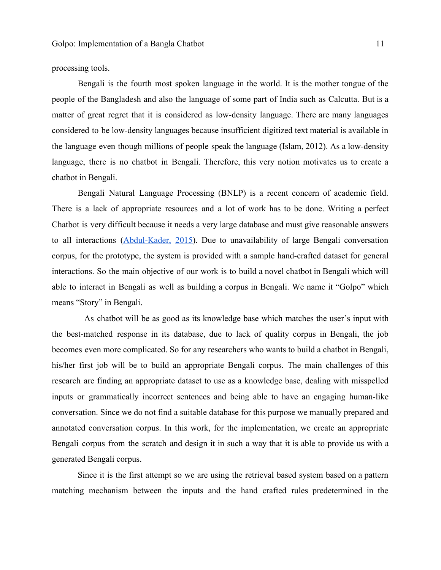processing tools.

Bengali is the fourth most spoken language in the world. It is the mother tongue of the people of the Bangladesh and also the language of some part of India such as Calcutta. But is a matter of great regret that it is considered as low-density language. There are many languages considered to be low-density languages because insufficient digitized text material is available in the language even though millions of people speak the language (Islam, 2012). As a low-density language, there is no chatbot in Bengali. Therefore, this very notion motivates us to create a chatbot in Bengali.

Bengali Natural Language Processing (BNLP) is a recent concern of academic field. There is a lack of appropriate resources and a lot of work has to be done. Writing a perfect Chatbot is very difficult because it needs a very large database and must give reasonable answers to all interactions [\(Abdul-Kader,](#page-45-0) 2015). Due to unavailability of large Bengali conversation corpus, for the prototype, the system is provided with a sample hand-crafted dataset for general interactions. So the main objective of our work is to build a novel chatbot in Bengali which will able to interact in Bengali as well as building a corpus in Bengali. We name it "Golpo" which means "Story" in Bengali.

As chatbot will be as good as its knowledge base which matches the user's input with the best-matched response in its database, due to lack of quality corpus in Bengali, the job becomes even more complicated. So for any researchers who wants to build a chatbot in Bengali, his/her first job will be to build an appropriate Bengali corpus. The main challenges of this research are finding an appropriate dataset to use as a knowledge base, dealing with misspelled inputs or grammatically incorrect sentences and being able to have an engaging human-like conversation. Since we do not find a suitable database for this purpose we manually prepared and annotated conversation corpus. In this work, for the implementation, we create an appropriate Bengali corpus from the scratch and design it in such a way that it is able to provide us with a generated Bengali corpus.

Since it is the first attempt so we are using the retrieval based system based on a pattern matching mechanism between the inputs and the hand crafted rules predetermined in the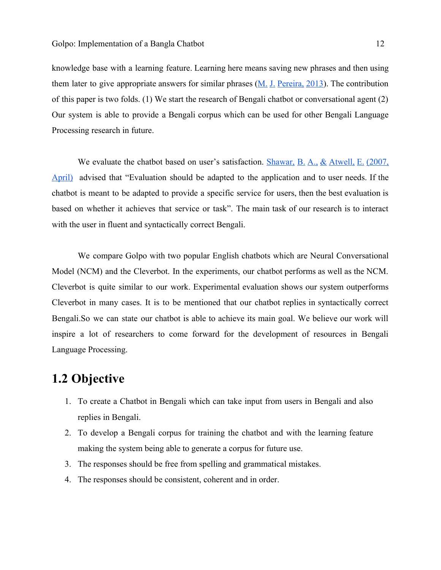knowledge base with a learning feature. Learning here means saving new phrases and then using them later to give appropriate answers for similar phrases (M. J. [Pereira,](#page-45-0) 2013). The contribution of this paper is two folds. (1) We start the research of Bengali chatbot or conversational agent (2) Our system is able to provide a Bengali corpus which can be used for other Bengali Language Processing research in future.

We evaluate the chatbot based on user's satisfaction. [Shawar,](#page-45-0) B. A., & Atwell, E. (2007, [April\)](#page-45-0) advised that "Evaluation should be adapted to the application and to user needs. If the chatbot is meant to be adapted to provide a specific service for users, then the best evaluation is based on whether it achieves that service or task". The main task of our research is to interact with the user in fluent and syntactically correct Bengali.

We compare Golpo with two popular English chatbots which are Neural Conversational Model (NCM) and the Cleverbot. In the experiments, our chatbot performs as well as the NCM. Cleverbot is quite similar to our work. Experimental evaluation shows our system outperforms Cleverbot in many cases. It is to be mentioned that our chatbot replies in syntactically correct Bengali.So we can state our chatbot is able to achieve its main goal. We believe our work will inspire a lot of researchers to come forward for the development of resources in Bengali Language Processing.

### <span id="page-11-0"></span>**1.2 Objective**

- 1. To create a Chatbot in Bengali which can take input from users in Bengali and also replies in Bengali.
- 2. To develop a Bengali corpus for training the chatbot and with the learning feature making the system being able to generate a corpus for future use.
- 3. The responses should be free from spelling and grammatical mistakes.
- 4. The responses should be consistent, coherent and in order.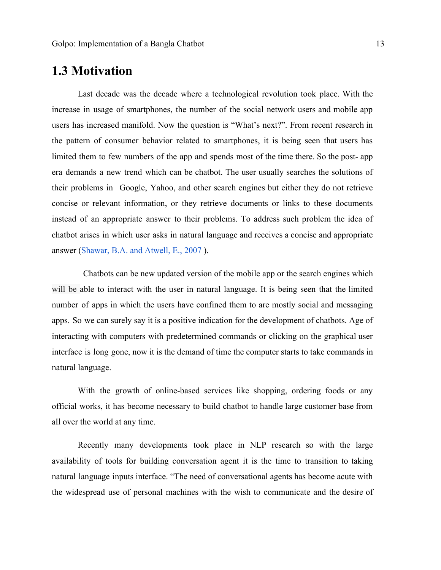### <span id="page-12-0"></span>**1.3 Motivation**

Last decade was the decade where a technological revolution took place. With the increase in usage of smartphones, the number of the social network users and mobile app users has increased manifold. Now the question is "What's next?". From recent research in the pattern of consumer behavior related to smartphones, it is being seen that users has limited them to few numbers of the app and spends most of the time there. So the post- app era demands a new trend which can be chatbot. The user usually searches the solutions of their problems in Google, Yahoo, and other search engines but either they do not retrieve concise or relevant information, or they retrieve documents or links to these documents instead of an appropriate answer to their problems. To address such problem the idea of chatbot arises in which user asks in natural language and receives a concise and appropriate answer [\(Shawar, B.A. and Atwell, E., 2007](#page-45-0) ).

Chatbots can be new updated version of the mobile app or the search engines which will be able to interact with the user in natural language. It is being seen that the limited number of apps in which the users have confined them to are mostly social and messaging apps. So we can surely say it is a positive indication for the development of chatbots. Age of interacting with computers with predetermined commands or clicking on the graphical user interface is long gone, now it is the demand of time the computer starts to take commands in natural language.

With the growth of online-based services like shopping, ordering foods or any official works, it has become necessary to build chatbot to handle large customer base from all over the world at any time.

Recently many developments took place in NLP research so with the large availability of tools for building conversation agent it is the time to transition to taking natural language inputs interface. "The need of conversational agents has become acute with the widespread use of personal machines with the wish to communicate and the desire of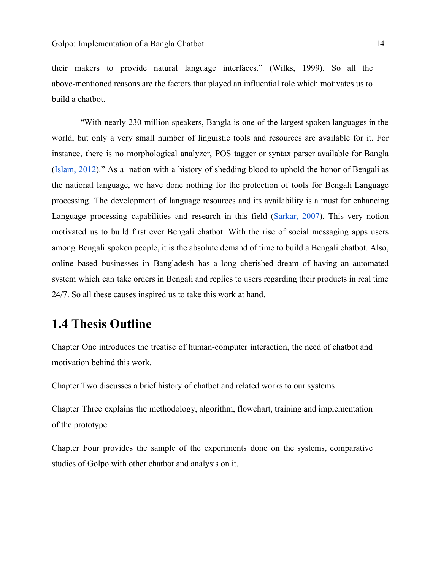their makers to provide natural language interfaces." (Wilks, 1999). So all the above-mentioned reasons are the factors that played an influential role which motivates us to build a chatbot.

"With nearly 230 million speakers, Bangla is one of the largest spoken languages in the world, but only a very small number of linguistic tools and resources are available for it. For instance, there is no morphological analyzer, POS tagger or syntax parser available for Bangla ([Islam,](#page-45-0) 2012)." As a nation with a history of shedding blood to uphold the honor of Bengali as the national language, we have done nothing for the protection of tools for Bengali Language processing. The development of language resources and its availability is a must for enhancing Language processing capabilities and research in this field [\(Sarkar,](#page-45-0) 2007). This very notion motivated us to build first ever Bengali chatbot. With the rise of social messaging apps users among Bengali spoken people, it is the absolute demand of time to build a Bengali chatbot. Also, online based businesses in Bangladesh has a long cherished dream of having an automated system which can take orders in Bengali and replies to users regarding their products in real time 24/7. So all these causes inspired us to take this work at hand.

### <span id="page-13-0"></span>**1.4 Thesis Outline**

Chapter One introduces the treatise of human-computer interaction, the need of chatbot and motivation behind this work.

Chapter Two discusses a brief history of chatbot and related works to our systems

Chapter Three explains the methodology, algorithm, flowchart, training and implementation of the prototype.

Chapter Four provides the sample of the experiments done on the systems, comparative studies of Golpo with other chatbot and analysis on it.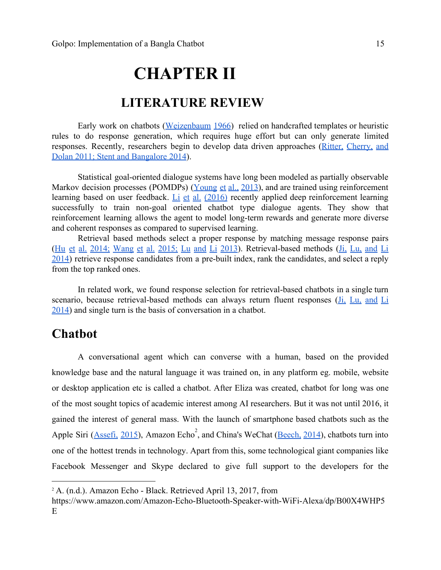## **CHAPTER II**

### **LITERATURE REVIEW**

<span id="page-14-1"></span><span id="page-14-0"></span>Early work on chatbots ([Weizenbaum](#page-45-0) 1966) relied on handcrafted templates or heuristic rules to do response generation, which requires huge effort but can only generate limited responses. Recently, researchers begin to develop data driven approaches (Ritter, [Cherry,](#page-45-0) and [Dolan 2011; Stent and Bangalore 2014\)](#page-45-0).

Statistical goal-oriented dialogue systems have long been modeled as partially observable Markov decision processes (POMDPs) [\(Young](#page-45-0) et al., 2013), and are trained using reinforcement learning based on user feedback. Li et al.  $(2016)$  recently applied deep reinforcement learning successfully to train non-goal oriented chatbot type dialogue agents. They show that reinforcement learning allows the agent to model long-term rewards and generate more diverse and coherent responses as compared to supervised learning.

Retrieval based methods select a proper response by matching message response pairs (Hu et al. 2014; [Wang](#page-45-0) et al. 2015; Lu and Li 2013). Retrieval-based methods (Ji, Lu, [and](#page-45-0) Li [2014](#page-45-0)) retrieve response candidates from a pre-built index, rank the candidates, and select a reply from the top ranked ones.

In related work, we found response selection for retrieval-based chatbots in a single turn scenario, because retrieval-based methods can always return fluent responses (Ji, Lu, [and](#page-45-0) Li [2014](#page-45-0)) and single turn is the basis of conversation in a chatbot.

### <span id="page-14-2"></span>**Chatbot**

A conversational agent which can converse with a human, based on the provided knowledge base and the natural language it was trained on, in any platform eg. mobile, website or desktop application etc is called a chatbot. After Eliza was created, chatbot for long was one of the most sought topics of academic interest among AI researchers. But it was not until 2016, it gained the interest of general mass. With the launch of smartphone based chatbots such as the Apple Siri [\(Assefi,](#page-45-0) 2015), Amazon Echo<sup>2</sup>, and China's WeChat [\(Beech,](#page-45-0) 2014), chatbots turn into one of the hottest trends in technology. Apart from this, some technological giant companies like Facebook Messenger and Skype declared to give full support to the developers for the

<sup>&</sup>lt;sup>2</sup> A. (n.d.). Amazon Echo - Black. Retrieved April 13, 2017, from

https://www.amazon.com/Amazon-Echo-Bluetooth-Speaker-with-WiFi-Alexa/dp/B00X4WHP5 E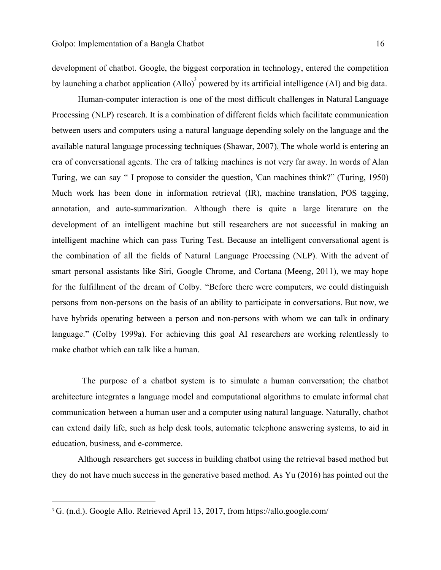development of chatbot. Google, the biggest corporation in technology, entered the competition by launching a chatbot application  $(A \parallel o)^3$  powered by its artificial intelligence  $(A I)$  and big data.

Human-computer interaction is one of the most difficult challenges in Natural Language Processing (NLP) research. It is a combination of different fields which facilitate communication between users and computers using a natural language depending solely on the language and the available natural language processing techniques (Shawar, 2007). The whole world is entering an era of conversational agents. The era of talking machines is not very far away. In words of Alan Turing, we can say " I propose to consider the question, 'Can machines think?" (Turing, 1950) Much work has been done in information retrieval (IR), machine translation, POS tagging, annotation, and auto-summarization. Although there is quite a large literature on the development of an intelligent machine but still researchers are not successful in making an intelligent machine which can pass Turing Test. Because an intelligent conversational agent is the combination of all the fields of Natural Language Processing (NLP). With the advent of smart personal assistants like Siri, Google Chrome, and Cortana (Meeng, 2011), we may hope for the fulfillment of the dream of Colby. "Before there were computers, we could distinguish persons from non-persons on the basis of an ability to participate in conversations. But now, we have hybrids operating between a person and non-persons with whom we can talk in ordinary language." (Colby 1999a). For achieving this goal AI researchers are working relentlessly to make chatbot which can talk like a human.

The purpose of a chatbot system is to simulate a human conversation; the chatbot architecture integrates a language model and computational algorithms to emulate informal chat communication between a human user and a computer using natural language. Naturally, chatbot can extend daily life, such as help desk tools, automatic telephone answering systems, to aid in education, business, and e-commerce.

Although researchers get success in building chatbot using the retrieval based method but they do not have much success in the generative based method. As Yu (2016) has pointed out the

<sup>&</sup>lt;sup>3</sup> G. (n.d.). Google Allo. Retrieved April 13, 2017, from https://allo.google.com/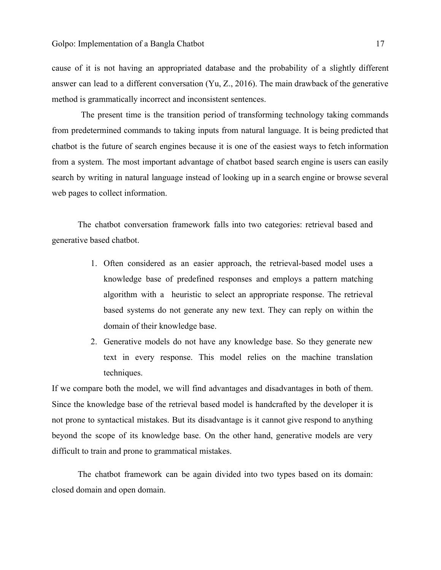cause of it is not having an appropriated database and the probability of a slightly different answer can lead to a different conversation (Yu, Z., 2016). The main drawback of the generative method is grammatically incorrect and inconsistent sentences.

The present time is the transition period of transforming technology taking commands from predetermined commands to taking inputs from natural language. It is being predicted that chatbot is the future of search engines because it is one of the easiest ways to fetch information from a system. The most important advantage of chatbot based search engine is users can easily search by writing in natural language instead of looking up in a search engine or browse several web pages to collect information.

The chatbot conversation framework falls into two categories: retrieval based and generative based chatbot.

- 1. Often considered as an easier approach, the retrieval-based model uses a knowledge base of predefined responses and employs a pattern matching algorithm with a heuristic to select an appropriate response. The retrieval based systems do not generate any new text. They can reply on within the domain of their knowledge base.
- 2. Generative models do not have any knowledge base. So they generate new text in every response. This model relies on the machine translation techniques.

If we compare both the model, we will find advantages and disadvantages in both of them. Since the knowledge base of the retrieval based model is handcrafted by the developer it is not prone to syntactical mistakes. But its disadvantage is it cannot give respond to anything beyond the scope of its knowledge base. On the other hand, generative models are very difficult to train and prone to grammatical mistakes.

The chatbot framework can be again divided into two types based on its domain: closed domain and open domain.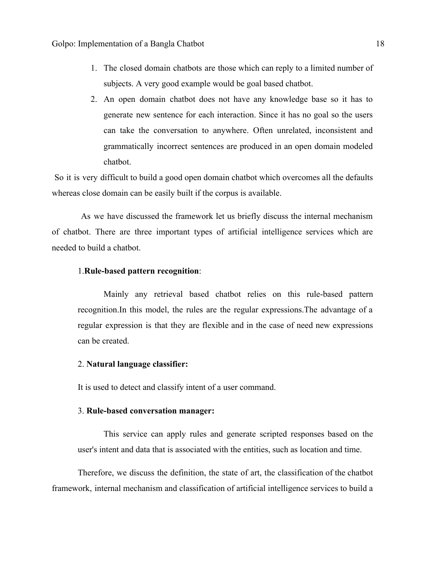- 1. The closed domain chatbots are those which can reply to a limited number of subjects. A very good example would be goal based chatbot.
- 2. An open domain chatbot does not have any knowledge base so it has to generate new sentence for each interaction. Since it has no goal so the users can take the conversation to anywhere. Often unrelated, inconsistent and grammatically incorrect sentences are produced in an open domain modeled chatbot.

So it is very difficult to build a good open domain chatbot which overcomes all the defaults whereas close domain can be easily built if the corpus is available.

As we have discussed the framework let us briefly discuss the internal mechanism of chatbot. There are three important types of artificial intelligence services which are needed to build a chatbot.

#### 1.**Rule-based pattern recognition**:

Mainly any retrieval based chatbot relies on this rule-based pattern recognition.In this model, the rules are the regular expressions.The advantage of a regular expression is that they are flexible and in the case of need new expressions can be created.

#### 2. **Natural language classifier:**

It is used to detect and classify intent of a user command.

#### 3. **Rule-based conversation manager:**

This service can apply rules and generate scripted responses based on the user's intent and data that is associated with the entities, such as location and time.

Therefore, we discuss the definition, the state of art, the classification of the chatbot framework, internal mechanism and classification of artificial intelligence services to build a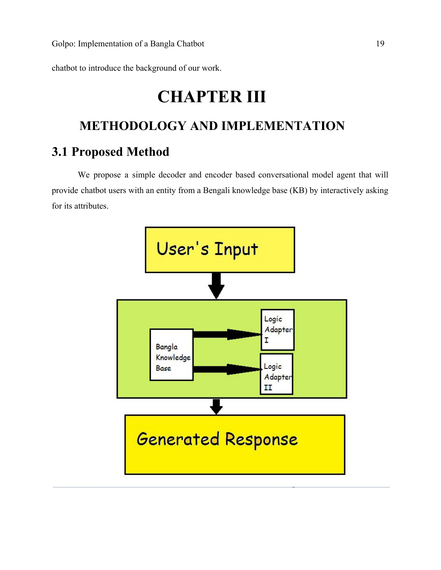<span id="page-18-1"></span>chatbot to introduce the background of our work.

# **CHAPTER III**

# <span id="page-18-2"></span>**METHODOLOGY AND IMPLEMENTATION**

### <span id="page-18-0"></span>**3.1 Proposed Method**

We propose a simple decoder and encoder based conversational model agent that will provide chatbot users with an entity from a Bengali knowledge base (KB) by interactively asking for its attributes.

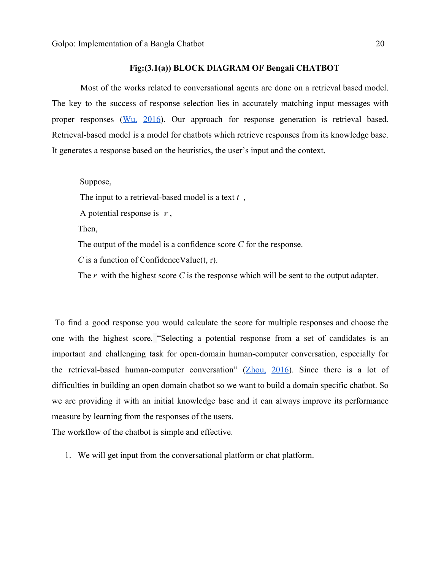#### **Fig:(3.1(a)) BLOCK DIAGRAM OF Bengali CHATBOT**

Most of the works related to conversational agents are done on a retrieval based model. The key to the success of response selection lies in accurately matching input messages with proper responses (Wu, [2016\)](#page-45-0). Our approach for response generation is retrieval based. Retrieval-based model is a model for chatbots which retrieve responses from its knowledge base. It generates a response based on the heuristics, the user's input and the context.

#### Suppose,

The input to a retrieval-based model is a text *t* ,

A potential response is  $r$ ,

Then,

The output of the model is a confidence score *C* for the response.

*C* is a function of ConfidenceValue(t, r).

The *r* with the highest score *C* is the response which will be sent to the output adapter.

To find a good response you would calculate the score for multiple responses and choose the one with the highest score. "Selecting a potential response from a set of candidates is an important and challenging task for open-domain human-computer conversation, especially for the retrieval-based human-computer conversation" [\(Zhou,](#page-45-0) 2016). Since there is a lot of difficulties in building an open domain chatbot so we want to build a domain specific chatbot. So we are providing it with an initial knowledge base and it can always improve its performance measure by learning from the responses of the users.

The workflow of the chatbot is simple and effective.

1. We will get input from the conversational platform or chat platform.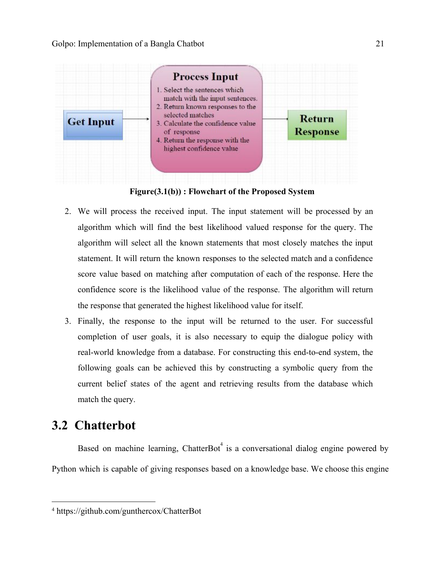

**Figure(3.1(b)) : Flowchart of the Proposed System**

- 2. We will process the received input. The input statement will be processed by an algorithm which will find the best likelihood valued response for the query. The algorithm will select all the known statements that most closely matches the input statement. It will return the known responses to the selected match and a confidence score value based on matching after computation of each of the response. Here the confidence score is the likelihood value of the response. The algorithm will return the response that generated the highest likelihood value for itself.
- 3. Finally, the response to the input will be returned to the user. For successful completion of user goals, it is also necessary to equip the dialogue policy with real-world knowledge from a database. For constructing this end-to-end system, the following goals can be achieved this by constructing a symbolic query from the current belief states of the agent and retrieving results from the database which match the query.

## <span id="page-20-0"></span>**3.2 Chatterbot**

Based on machine learning, ChatterBot<sup>4</sup> is a conversational dialog engine powered by Python which is capable of giving responses based on a knowledge base. We choose this engine

<sup>4</sup> https://github.com/gunthercox/ChatterBot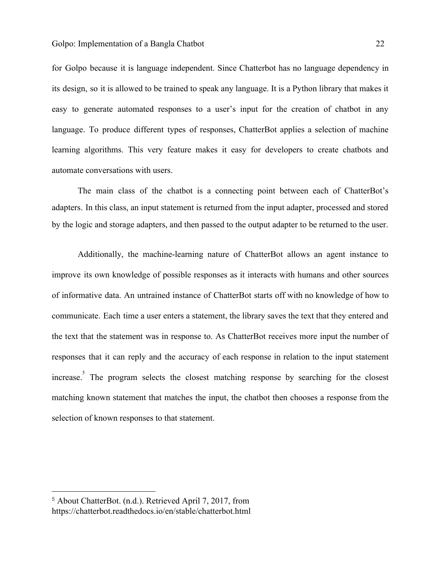for Golpo because it is language independent. Since Chatterbot has no language dependency in its design, so it is allowed to be trained to speak any language. It is a Python library that makes it easy to generate automated responses to a user's input for the creation of chatbot in any language. To produce different types of responses, ChatterBot applies a selection of machine learning algorithms. This very feature makes it easy for developers to create chatbots and automate conversations with users.

The main class of the chatbot is a connecting point between each of ChatterBot's adapters. In this class, an input statement is returned from the input adapter, processed and stored by the logic and storage adapters, and then passed to the output adapter to be returned to the user.

Additionally, the machine-learning nature of ChatterBot allows an agent instance to improve its own knowledge of possible responses as it interacts with humans and other sources of informative data. An untrained instance of ChatterBot starts off with no knowledge of how to communicate. Each time a user enters a [statement,](https://chatterbot.readthedocs.io/en/stable/#term-statement) the library saves the text that they entered and the text that the statement was in response to. As ChatterBot receives more input the number of responses that it can reply and the accuracy of each response in relation to the input statement increase.<sup>5</sup> The program selects the closest matching [response](https://chatterbot.readthedocs.io/en/stable/#term-response) by searching for the closest matching known statement that matches the input, the chatbot then chooses a response from the selection of known responses to that statement.

<sup>5</sup> About ChatterBot. (n.d.). Retrieved April 7, 2017, from https://chatterbot.readthedocs.io/en/stable/chatterbot.html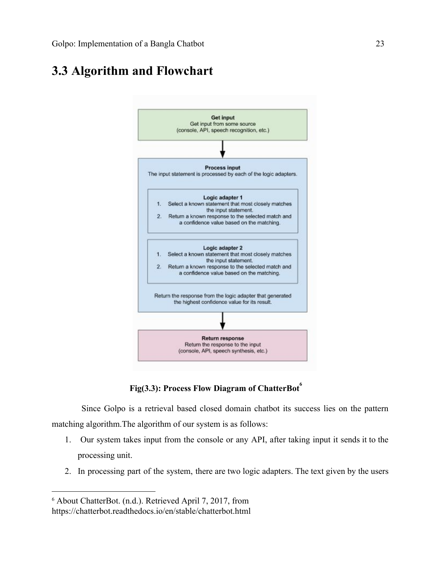## <span id="page-22-0"></span>**3.3 Algorithm and Flowchart**



**Fig(3.3): Process Flow Diagram of ChatterBot<sup>6</sup>**

Since Golpo is a retrieval based closed domain chatbot its success lies on the pattern matching algorithm.The algorithm of our system is as follows:

- 1. Our system takes input from the console or any API, after taking input it sends it to the processing unit.
- 2. In processing part of the system, there are two logic adapters. The text given by the users

<sup>6</sup> About ChatterBot. (n.d.). Retrieved April 7, 2017, from https://chatterbot.readthedocs.io/en/stable/chatterbot.html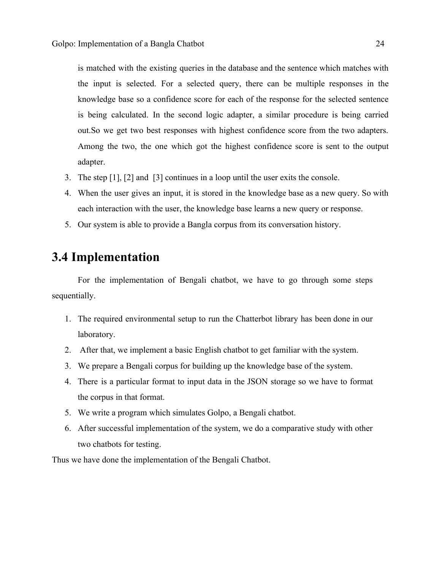is matched with the existing queries in the database and the sentence which matches with the input is selected. For a selected query, there can be multiple responses in the knowledge base so a confidence score for each of the response for the selected sentence is being calculated. In the second logic adapter, a similar procedure is being carried out.So we get two best responses with highest confidence score from the two adapters. Among the two, the one which got the highest confidence score is sent to the output adapter.

- 3. The step [1], [2] and [3] continues in a loop until the user exits the console.
- 4. When the user gives an input, it is stored in the knowledge base as a new query. So with each interaction with the user, the knowledge base learns a new query or response.
- 5. Our system is able to provide a Bangla corpus from its conversation history.

### <span id="page-23-0"></span>**3.4 Implementation**

For the implementation of Bengali chatbot, we have to go through some steps sequentially.

- 1. The required environmental setup to run the Chatterbot library has been done in our laboratory.
- 2. After that, we implement a basic English chatbot to get familiar with the system.
- 3. We prepare a Bengali corpus for building up the knowledge base of the system.
- 4. There is a particular format to input data in the JSON storage so we have to format the corpus in that format.
- 5. We write a program which simulates Golpo, a Bengali chatbot.
- 6. After successful implementation of the system, we do a comparative study with other two chatbots for testing.

Thus we have done the implementation of the Bengali Chatbot.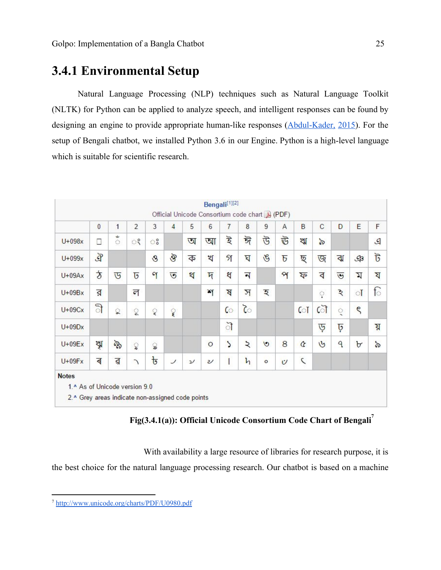### <span id="page-24-0"></span>**3.4.1 Environmental Setup**

Natural Language Processing (NLP) techniques such as Natural Language Toolkit (NLTK) for Python can be applied to analyze speech, and intelligent responses can be found by designing an engine to provide appropriate human-like responses [\(Abdul-Kader,](#page-45-0) 2015). For the setup of Bengali chatbot, we installed Python 3.6 in our Engine. Python is a high-level language which is suitable for scientific research.

|              | $\overline{0}$       | 1                        | $\overline{2}$ | 3             | 4        | 5             | 6       | 7             | 8                       | 9             | A                       | B             | $\mathbf C$   | D              | E            | F             |
|--------------|----------------------|--------------------------|----------------|---------------|----------|---------------|---------|---------------|-------------------------|---------------|-------------------------|---------------|---------------|----------------|--------------|---------------|
| $U+098x$     | Ω                    | ى<br>$\circlearrowright$ | ेरै            | ះ             |          | অ             | আ       | ট্            | ঈ                       | উ             | 运                       | ঋ             | $\delta$      |                |              | $\mathcal{L}$ |
| $U+099x$     | $\mathcal{F}$        |                          |                | $\mathcal{S}$ | $\delta$ | ক             | খ       | গ             | ঘ                       | $\mathscr{E}$ | $\overline{b}$          | ছ             | জ             | ঝ              | $\mathbb{G}$ | ট             |
| $U+09Ax$     | $\frac{1}{\sqrt{2}}$ | ড                        | $\overline{5}$ | $\gamma$      | ত        | থ             | দ       | ধ             | $\overline{\mathbf{N}}$ |               | $\mathbf{R}$            | ফ             | ব             | $\overline{v}$ | Z            | য             |
| $U+09Bx$     | র                    |                          | ল              |               |          |               | শ       | A             | স                       | হ             |                         |               | ़             | ঽ              | ा            | ि             |
| $U+09Cx$     | ी                    | ୁ                        | ू              | ৃ             | ୄ        |               |         | ে             | $\delta$                |               |                         | ো             | ৌ             | ्              | ς            |               |
| $U+09Dx$     |                      |                          |                |               |          |               |         | ৗ             |                         |               |                         |               | ড়            | ঢ়             |              | য়            |
| $U+09Ex$     | ৠ                    | ৡ                        | ្ត្            | ្ល            |          |               | $\circ$ | $\mathcal{L}$ | $\lambda$               | $\circ$       | 8                       | Q             | $\mathcal{G}$ | ٩              | ৮            | $\delta$      |
| $U+09Fx$     | ৰ                    | ৱ                        | J              | $\mathbf{t}$  | ┘        | $\mathcal{V}$ | υ       | Ī             | h                       | $\circ$       | $\boldsymbol{\upsilon}$ | $\mathcal{L}$ |               |                |              |               |
| <b>Notes</b> |                      |                          |                |               |          |               |         |               |                         |               |                         |               |               |                |              |               |

**Fig(3.4.1(a)): Official Unicode Consortium Code Chart of Bengali<sup>7</sup>**

With availability a large resource of libraries for research purpose, it is the best choice for the natural language processing research. Our chatbot is based on a machine

<sup>7</sup> <http://www.unicode.org/charts/PDF/U0980.pdf>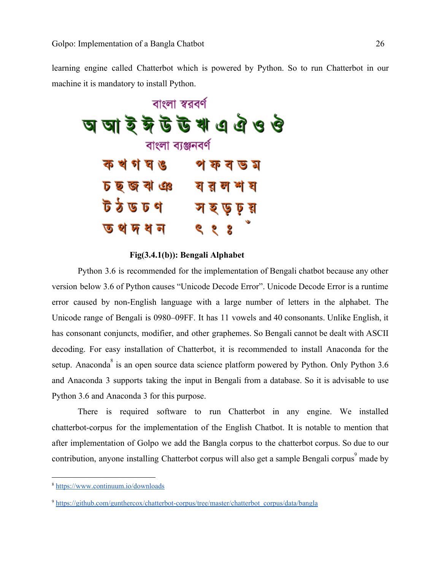learning engine called Chatterbot which is powered by Python. So to run Chatterbot in our machine it is mandatory to install Python.



**Fig(3.4.1(b)): Bengali Alphabet**

Python 3.6 is recommended for the implementation of Bengali chatbot because any other version below 3.6 of Python causes "Unicode Decode Error". Unicode Decode Error is a runtime error caused by non-English language with a large number of letters in the alphabet. The Unicode range of Bengali is 0980–09FF. It has 11 vowels and 40 consonants. Unlike English, it has consonant conjuncts, modifier, and other graphemes. So Bengali cannot be dealt with ASCII decoding. For easy installation of Chatterbot, it is recommended to install Anaconda for the setup. Anaconda<sup>8</sup> is an open source data science platform powered by Python. Only Python 3.6 and Anaconda 3 supports taking the input in Bengali from a database. So it is advisable to use Python 3.6 and Anaconda 3 for this purpose.

There is required software to run Chatterbot in any engine. We installed chatterbot-corpus for the implementation of the English Chatbot. It is notable to mention that after implementation of Golpo we add the Bangla corpus to the chatterbot corpus. So due to our contribution, anyone installing Chatterbot corpus will also get a sample Bengali corpus<sup>9</sup> made by

<sup>8</sup> <https://www.continuum.io/downloads>

<sup>9</sup> [https://github.com/gunthercox/chatterbot-corpus/tree/master/chatterbot\\_corpus/data/bangla](https://github.com/gunthercox/chatterbot-corpus/tree/master/chatterbot_corpus/data/bangla)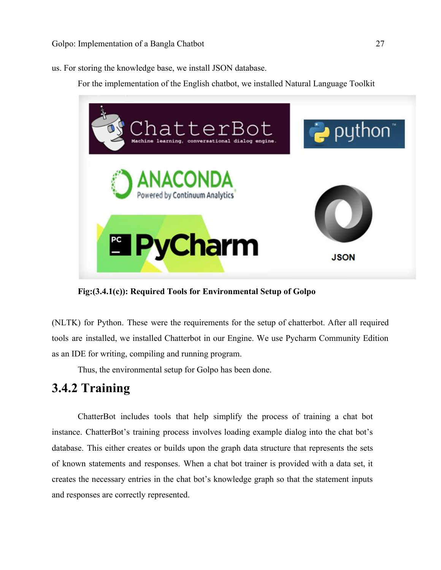us. For storing the knowledge base, we install JSON database.

For the implementation of the English chatbot, we installed Natural Language Toolkit



**Fig:(3.4.1(c)): Required Tools for Environmental Setup of Golpo**

(NLTK) for Python. These were the requirements for the setup of chatterbot. After all required tools are installed, we installed Chatterbot in our Engine. We use Pycharm Community Edition as an IDE for writing, compiling and running program.

Thus, the environmental setup for Golpo has been done.

### <span id="page-26-0"></span>**3.4.2 Training**

ChatterBot includes tools that help simplify the process of training a chat bot instance. ChatterBot's training process involves loading example dialog into the chat bot's database. This either creates or builds upon the graph data structure that represents the sets of known statements and responses. When a chat bot trainer is provided with a data set, it creates the necessary entries in the chat bot's knowledge graph so that the statement inputs and responses are correctly represented.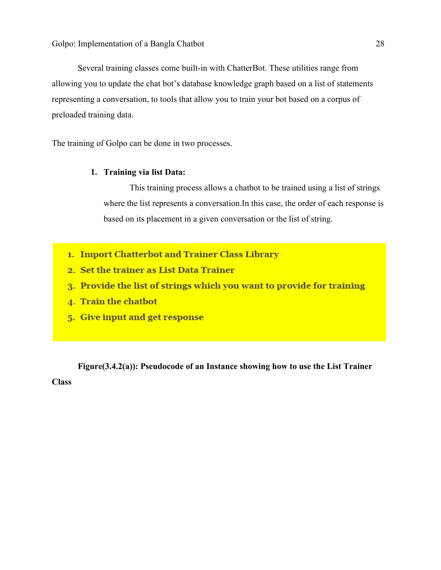Several training classes come built-in with ChatterBot. These utilities range from allowing you to update the chat bot's database knowledge graph based on a list of statements representing a conversation, to tools that allow you to train your bot based on a corpus of preloaded training data.

The training of Golpo can be done in two processes.

#### **1. Training via list Data:**

This training process allows a chatbot to be trained using a list of strings where the list represents a conversation.In this case, the order of each response is based on its placement in a given conversation or the list of string.

- 1. Import Chatterbot and Trainer Class Library
- 2. Set the trainer as List Data Trainer
- 3. Provide the list of strings which you want to provide for training
- 4. Train the chatbot
- 5. Give input and get response

**Figure(3.4.2(a)): Pseudocode of an Instance showing how to use the List Trainer Class**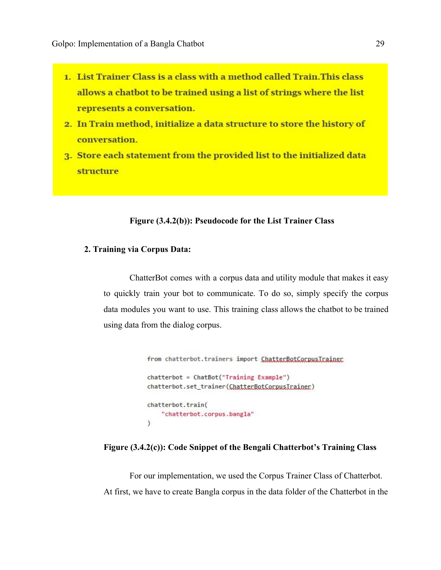- 1. List Trainer Class is a class with a method called Train. This class allows a chatbot to be trained using a list of strings where the list represents a conversation.
- 2. In Train method, initialize a data structure to store the history of conversation.
- 3. Store each statement from the provided list to the initialized data structure

#### **Figure (3.4.2(b)): Pseudocode for the List Trainer Class**

#### **2. Training via Corpus Data:**

ChatterBot comes with a corpus data and utility module that makes it easy to quickly train your bot to communicate. To do so, simply specify the corpus data modules you want to use. This training class allows the chatbot to be trained using data from the dialog corpus.

```
from chatterbot.trainers import ChatterBotCorpusTrainer
chatterbot = ChatBot("Training Example")chatterbot.set_trainer(ChatterBotCorpusIrainer)
chatterbot.train(
    "chatterbot.corpus.bangla"
\lambda
```
#### **Figure (3.4.2(c)): Code Snippet of the Bengali Chatterbot's Training Class**

For our implementation, we used the Corpus Trainer Class of Chatterbot. At first, we have to create Bangla corpus in the data folder of the Chatterbot in the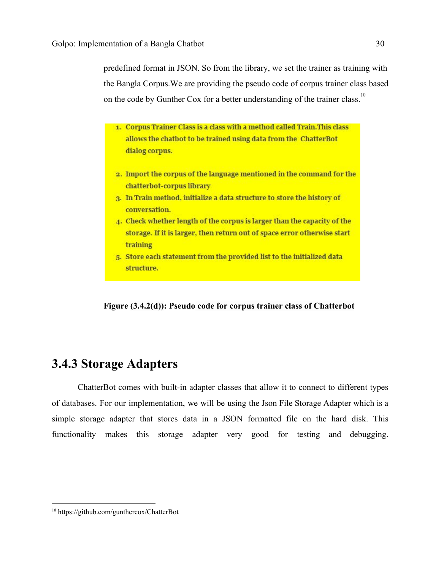predefined format in JSON. So from the library, we set the trainer as training with the Bangla Corpus.We are providing the pseudo code of corpus trainer class based on the code by Gunther Cox for a better understanding of the trainer class.<sup>10</sup>

- 1. Corpus Trainer Class is a class with a method called Train. This class allows the chatbot to be trained using data from the ChatterBot dialog corpus.
- 2. Import the corpus of the language mentioned in the command for the chatterbot-corpus library
- 3. In Train method, initialize a data structure to store the history of conversation.
- 4. Check whether length of the corpus is larger than the capacity of the storage. If it is larger, then return out of space error otherwise start training
- 5. Store each statement from the provided list to the initialized data structure.

**Figure (3.4.2(d)): Pseudo code for corpus trainer class of Chatterbot**

### **3.4.3 Storage Adapters**

ChatterBot comes with built-in adapter classes that allow it to connect to different types of databases. For our implementation, we will be using the Json File Storage Adapter which is a simple storage adapter that stores data in a JSON formatted file on the hard disk. This functionality makes this storage adapter very good for testing and debugging.

<sup>10</sup> https://github.com/gunthercox/ChatterBot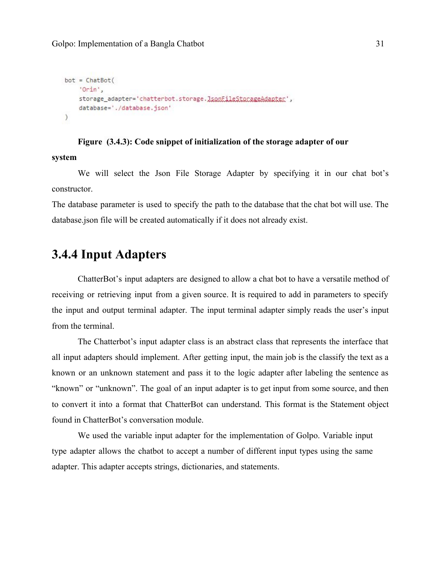```
bot = ChatBot('Orin',
    storage_adapter='chatterbot.storage.JsonFileStorageAdapter',
    database='./database.json'
\mathcal{E}
```
### **Figure (3.4.3): Code snippet of initialization of the storage adapter of our system**

We will select the Json File Storage Adapter by specifying it in our chat bot's constructor.

The database parameter is used to specify the path to the database that the chat bot will use. The database.json file will be created automatically if it does not already exist.

### <span id="page-30-0"></span>**3.4.4 Input Adapters**

ChatterBot's input adapters are designed to allow a chat bot to have a versatile method of receiving or retrieving input from a given source. It is required to add in parameters to specify the input and output terminal adapter. The input terminal adapter simply reads the user's input from the terminal.

The Chatterbot's input adapter class is an abstract class that represents the interface that all input adapters should implement. After getting input, the main job is the classify the text as a known or an unknown statement and pass it to the logic adapter after labeling the sentence as "known" or "unknown". The goal of an input adapter is to get input from some source, and then to convert it into a format that ChatterBot can understand. This format is the Statement object found in ChatterBot's conversation module.

We used the variable input adapter for the implementation of Golpo. Variable input type adapter allows the chatbot to accept a number of different input types using the same adapter. This adapter accepts strings, dictionaries, and statements.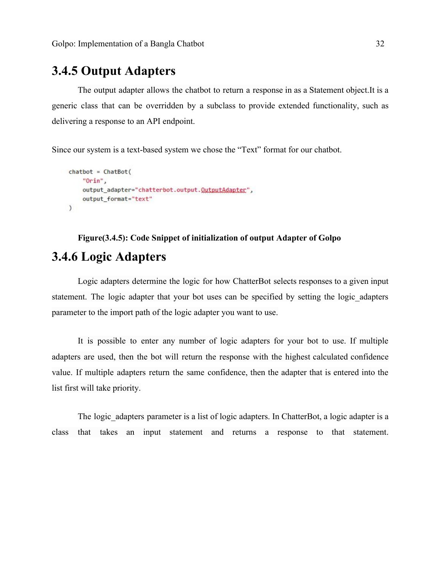### <span id="page-31-0"></span>**3.4.5 Output Adapters**

The output adapter allows the chatbot to return a response in as a Statement object.It is a generic class that can be overridden by a subclass to provide extended functionality, such as delivering a response to an API endpoint.

Since our system is a text-based system we chose the "Text" format for our chatbot.

```
chat = ChatBot("Orin",
    output_adapter="chatterbot.output.QutputAdapter",
    output_format="text"
\mathcal{L}
```
### **Figure(3.4.5): Code Snippet of initialization of output Adapter of Golpo**

### <span id="page-31-1"></span>**3.4.6 Logic Adapters**

Logic adapters determine the logic for how ChatterBot selects responses to a given input statement. The logic adapter that your bot uses can be specified by setting the logic\_adapters parameter to the import path of the logic adapter you want to use.

It is possible to enter any number of logic adapters for your bot to use. If multiple adapters are used, then the bot will return the response with the highest calculated confidence value. If multiple adapters return the same confidence, then the adapter that is entered into the list first will take priority.

The logic adapters parameter is a list of logic adapters. In ChatterBot, a logic adapter is a class that takes an input statement and returns a response to that statement.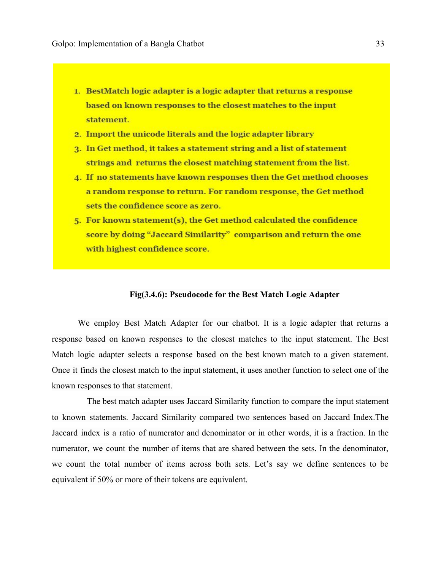- 1. BestMatch logic adapter is a logic adapter that returns a response based on known responses to the closest matches to the input statement.
- 2. Import the unicode literals and the logic adapter library
- 3. In Get method, it takes a statement string and a list of statement strings and returns the closest matching statement from the list.
- 4. If no statements have known responses then the Get method chooses a random response to return. For random response, the Get method sets the confidence score as zero.
- 5. For known statement(s), the Get method calculated the confidence score by doing "Jaccard Similarity" comparison and return the one with highest confidence score.

#### **Fig(3.4.6): Pseudocode for the Best Match Logic Adapter**

We employ Best Match Adapter for our chatbot. It is a logic adapter that returns a response based on known responses to the closest matches to the input statement. The Best Match logic adapter selects a response based on the best known match to a given statement. Once it finds the closest match to the input statement, it uses another function to select one of the known responses to that statement.

The best match adapter uses Jaccard Similarity function to compare the input statement to known statements. Jaccard Similarity compared two sentences based on Jaccard Index.The Jaccard index is a ratio of numerator and denominator or in other words, it is a fraction. In the numerator, we count the number of items that are shared between the sets. In the denominator, we count the total number of items across both sets. Let's say we define sentences to be equivalent if 50% or more of their tokens are equivalent.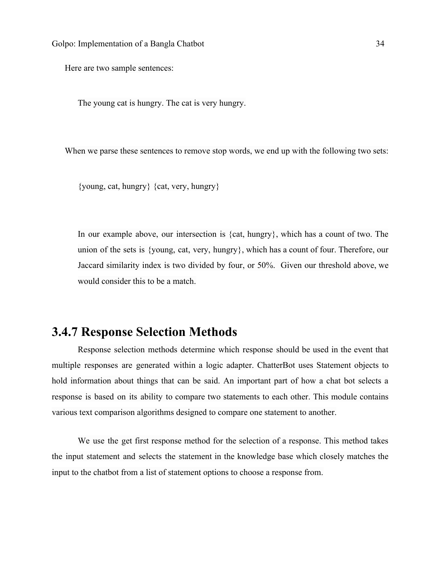Here are two sample sentences:

The young cat is hungry. The cat is very hungry.

When we parse these sentences to remove stop words, we end up with the following two sets:

{young, cat, hungry} {cat, very, hungry}

In our example above, our intersection is {cat, hungry}, which has a count of two. The union of the sets is {young, cat, very, hungry}, which has a count of four. Therefore, our Jaccard similarity index is two divided by four, or 50%. Given our threshold above, we would consider this to be a match.

### <span id="page-33-0"></span>**3.4.7 Response Selection Methods**

Response selection methods determine which response should be used in the event that multiple responses are generated within a logic adapter. ChatterBot uses Statement objects to hold information about things that can be said. An important part of how a chat bot selects a response is based on its ability to compare two statements to each other. This module contains various text comparison algorithms designed to compare one statement to another.

We use the get first response method for the selection of a response. This method takes the input statement and selects the statement in the knowledge base which closely matches the input to the chatbot from a list of statement options to choose a response from.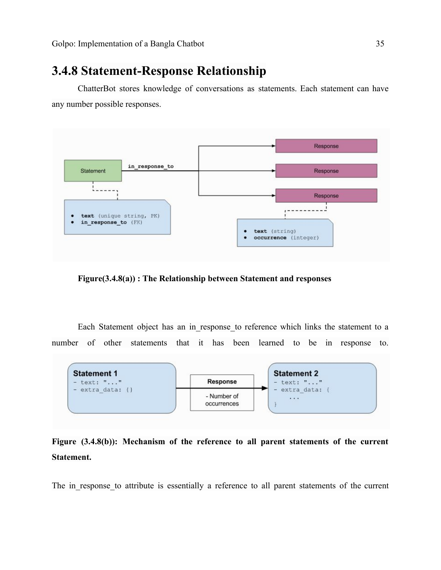### <span id="page-34-0"></span>**3.4.8 Statement-Response Relationship**

ChatterBot stores knowledge of conversations as statements. Each statement can have any number possible responses.



**Figure(3.4.8(a)) : The Relationship between Statement and responses**

Each Statement object has an in response to reference which links the statement to a number of other statements that it has been learned to be in response to.



### **Figure (3.4.8(b)): Mechanism of the reference to all parent statements of the current Statement.**

The in response to attribute is essentially a reference to all parent statements of the current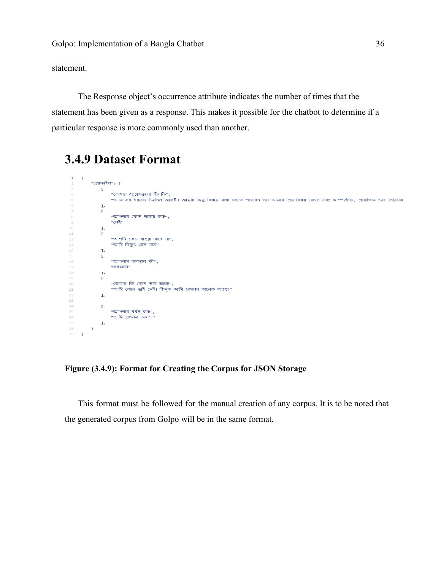statement.

The Response object's occurrence attribute indicates the number of times that the statement has been given as a response. This makes it possible for the chatbot to determine if a particular response is more commonly used than another.

### <span id="page-35-0"></span>**3.4.9 Dataset Format**



#### **Figure (3.4.9): Format for Creating the Corpus for JSON Storage**

This format must be followed for the manual creation of any corpus. It is to be noted that the generated corpus from Golpo will be in the same format.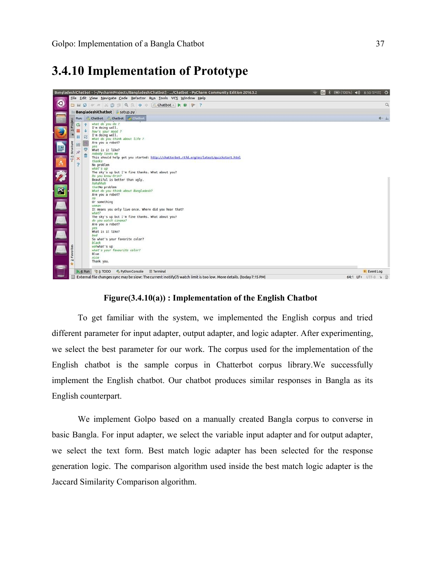### <span id="page-36-0"></span>**3.4.10 Implementation of Prototype**



#### **Figure(3.4.10(a)) : Implementation of the English Chatbot**

To get familiar with the system, we implemented the English corpus and tried different parameter for input adapter, output adapter, and logic adapter. After experimenting, we select the best parameter for our work. The corpus used for the implementation of the English chatbot is the sample corpus in Chatterbot corpus library.We successfully implement the English chatbot. Our chatbot produces similar responses in Bangla as its English counterpart.

We implement Golpo based on a manually created Bangla corpus to converse in basic Bangla. For input adapter, we select the variable input adapter and for output adapter, we select the text form. Best match logic adapter has been selected for the response generation logic. The comparison algorithm used inside the best match logic adapter is the Jaccard Similarity Comparison algorithm.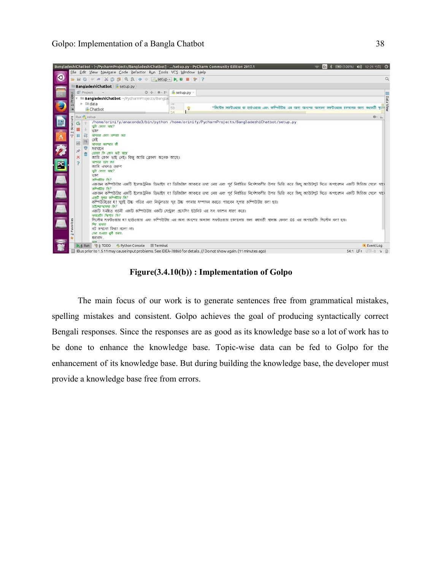

**Figure(3.4.10(b)) : Implementation of Golpo**

The main focus of our work is to generate sentences free from grammatical mistakes, spelling mistakes and consistent. Golpo achieves the goal of producing syntactically correct Bengali responses. Since the responses are as good as its knowledge base so a lot of work has to be done to enhance the knowledge base. Topic-wise data can be fed to Golpo for the enhancement of its knowledge base. But during building the knowledge base, the developer must provide a knowledge base free from errors.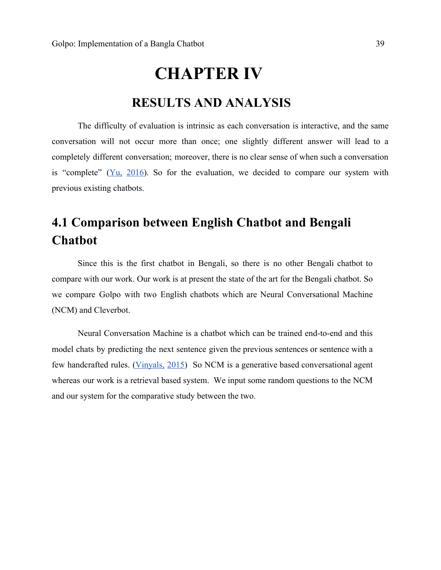# **CHAPTER IV RESULTS AND ANALYSIS**

## <span id="page-38-2"></span><span id="page-38-1"></span>The difficulty of evaluation is intrinsic as each conversation is interactive, and the same conversation will not occur more than once; one slightly different answer will lead to a completely different conversation; moreover, there is no clear sense of when such a conversation is "complete"  $(Y_{u}, 2016)$  $(Y_{u}, 2016)$ . So for the evaluation, we decided to compare our system with previous existing chatbots.

## <span id="page-38-0"></span>**4.1 Comparison between English Chatbot and Bengali Chatbot**

Since this is the first chatbot in Bengali, so there is no other Bengali chatbot to compare with our work. Our work is at present the state of the art for the Bengali chatbot. So we compare Golpo with two English chatbots which are Neural Conversational Machine (NCM) and Cleverbot.

Neural Conversation Machine is a chatbot which can be trained end-to-end and this model chats by predicting the next sentence given the previous sentences or sentence with a few handcrafted rules. [\(Vinyals,](#page-45-0) 2015) So NCM is a generative based conversational agent whereas our work is a retrieval based system. We input some random questions to the NCM and our system for the comparative study between the two.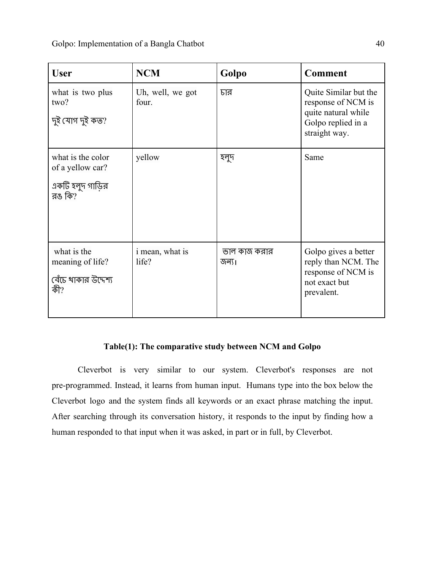| <b>User</b>                                                         | <b>NCM</b>                | Golpo                 | <b>Comment</b>                                                                                            |
|---------------------------------------------------------------------|---------------------------|-----------------------|-----------------------------------------------------------------------------------------------------------|
| what is two plus<br>two?<br>দুই যোগ দুই কত?                         | Uh, well, we got<br>four. | চার                   | Quite Similar but the<br>response of NCM is<br>quite natural while<br>Golpo replied in a<br>straight way. |
| what is the color<br>of a yellow car?<br>একটি হলুদ গাড়ির<br>রঙ কি? | yellow                    | হলুদ                  | Same                                                                                                      |
| what is the<br>meaning of life?<br>বেঁচে থাকার উদ্দেশ্য<br>কী?      | i mean, what is<br>life?  | ভাল কাজ করার<br>জন্য। | Golpo gives a better<br>reply than NCM. The<br>response of NCM is<br>not exact but<br>prevalent.          |

### **Table(1): The comparative study between NCM and Golpo**

Cleverbot is very similar to our system. Cleverbot's responses are not pre-programmed. Instead, it learns from human input. Humans type into the box below the Cleverbot logo and the system finds all keywords or an exact phrase matching the input. After searching through its conversation history, it responds to the input by finding how a human responded to that input when it was asked, in part or in full, by Cleverbot.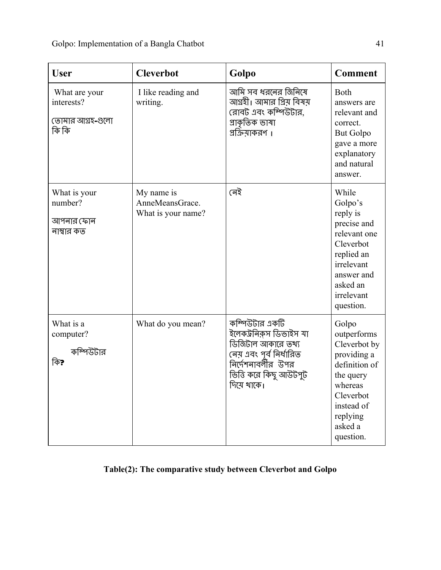| <b>User</b>                                              | <b>Cleverbot</b>                                    | Golpo                                                                                                                                                       | <b>Comment</b>                                                                                                                                              |
|----------------------------------------------------------|-----------------------------------------------------|-------------------------------------------------------------------------------------------------------------------------------------------------------------|-------------------------------------------------------------------------------------------------------------------------------------------------------------|
| What are your<br>interests?<br>তোমার আগ্রহ-গুলো<br>কি কি | I like reading and<br>writing.                      | আমি সব ধরনের জিনিষে<br>আগ্রহী। আমার প্রিয় বিষয়<br>রোবট এবং কম্পিউটার,<br>গ্ৰাকৃতিক ভাষা<br>প্রক্রিয়াকরণ ।                                                | Both<br>answers are<br>relevant and<br>correct.<br><b>But Golpo</b><br>gave a more<br>explanatory<br>and natural<br>answer.                                 |
| What is your<br>number?<br>আপনার ফোন<br>নাম্বার কত       | My name is<br>AnneMeansGrace.<br>What is your name? | নেই                                                                                                                                                         | While<br>Golpo's<br>reply is<br>precise and<br>relevant one<br>Cleverbot<br>replied an<br>irrelevant<br>answer and<br>asked an<br>irrelevant<br>question.   |
| What is a<br>computer?<br>কম্পিউটার<br>কি?               | What do you mean?                                   | কম্পিউটার একটি<br>ইলেকট্ৰনিক্নস ডিভাইস যা<br>ডিজিটাল আকারে তথ্য<br>নেয় এবং পূর্ব নির্ধারিত<br>নির্দেশনাবর্লীর উপর<br>ভিত্তি করে কিছু আউটপুট<br>দিয়ে থাকে। | Golpo<br>outperforms<br>Cleverbot by<br>providing a<br>definition of<br>the query<br>whereas<br>Cleverbot<br>instead of<br>replying<br>asked a<br>question. |

### **Table(2): The comparative study between Cleverbot and Golpo**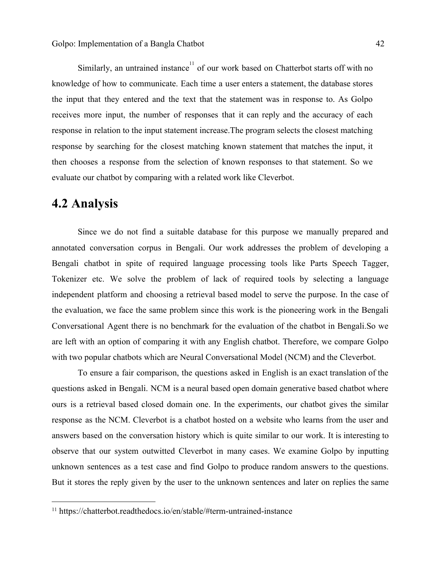Similarly, an untrained instance $1$  of our work based on Chatterbot starts off with no knowledge of how to communicate. Each time a user enters a statement, the database stores the input that they entered and the text that the statement was in response to. As Golpo receives more input, the number of responses that it can reply and the accuracy of each response in relation to the input statement increase.The program selects the closest matching response by searching for the closest matching known statement that matches the input, it then chooses a response from the selection of known responses to that statement. So we evaluate our chatbot by comparing with a related work like Cleverbot.

### <span id="page-41-0"></span>**4.2 Analysis**

Since we do not find a suitable database for this purpose we manually prepared and annotated conversation corpus in Bengali. Our work addresses the problem of developing a Bengali chatbot in spite of required language processing tools like Parts Speech Tagger, Tokenizer etc. We solve the problem of lack of required tools by selecting a language independent platform and choosing a retrieval based model to serve the purpose. In the case of the evaluation, we face the same problem since this work is the pioneering work in the Bengali Conversational Agent there is no benchmark for the evaluation of the chatbot in Bengali.So we are left with an option of comparing it with any English chatbot. Therefore, we compare Golpo with two popular chatbots which are Neural Conversational Model (NCM) and the Cleverbot.

To ensure a fair comparison, the questions asked in English is an exact translation of the questions asked in Bengali. NCM is a neural based open domain generative based chatbot where ours is a retrieval based closed domain one. In the experiments, our chatbot gives the similar response as the NCM. Cleverbot is a chatbot hosted on a website who learns from the user and answers based on the conversation history which is quite similar to our work. It is interesting to observe that our system outwitted Cleverbot in many cases. We examine Golpo by inputting unknown sentences as a test case and find Golpo to produce random answers to the questions. But it stores the reply given by the user to the unknown sentences and later on replies the same

<sup>11</sup> https://chatterbot.readthedocs.io/en/stable/#term-untrained-instance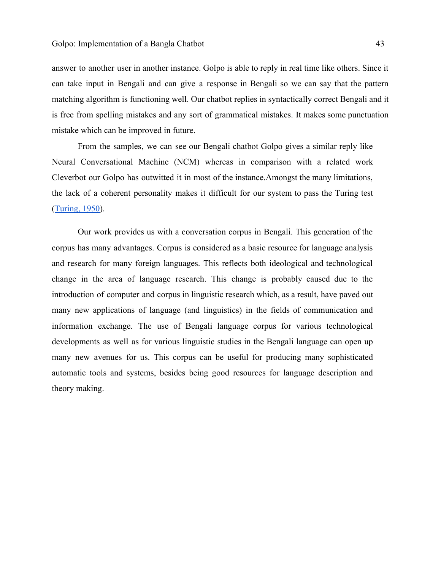answer to another user in another instance. Golpo is able to reply in real time like others. Since it can take input in Bengali and can give a response in Bengali so we can say that the pattern matching algorithm is functioning well. Our chatbot replies in syntactically correct Bengali and it is free from spelling mistakes and any sort of grammatical mistakes. It makes some punctuation mistake which can be improved in future.

From the samples, we can see our Bengali chatbot Golpo gives a similar reply like Neural Conversational Machine (NCM) whereas in comparison with a related work Cleverbot our Golpo has outwitted it in most of the instance.Amongst the many limitations, the lack of a coherent personality makes it difficult for our system to pass the Turing test ([Turing, 1950\)](#page-45-0).

Our work provides us with a conversation corpus in Bengali. This generation of the corpus has many advantages. Corpus is considered as a basic resource for language analysis and research for many foreign languages. This reflects both ideological and technological change in the area of language research. This change is probably caused due to the introduction of computer and corpus in linguistic research which, as a result, have paved out many new applications of language (and linguistics) in the fields of communication and information exchange. The use of Bengali language corpus for various technological developments as well as for various linguistic studies in the Bengali language can open up many new avenues for us. This corpus can be useful for producing many sophisticated automatic tools and systems, besides being good resources for language description and theory making.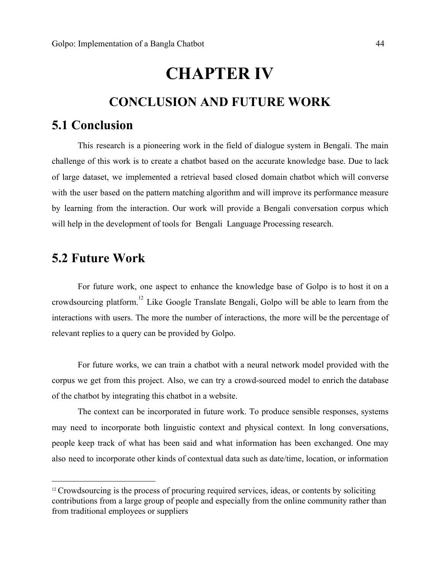# **CHAPTER IV**

### **CONCLUSION AND FUTURE WORK**

### <span id="page-43-3"></span><span id="page-43-2"></span><span id="page-43-0"></span>**5.1 Conclusion**

This research is a pioneering work in the field of dialogue system in Bengali. The main challenge of this work is to create a chatbot based on the accurate knowledge base. Due to lack of large dataset, we implemented a retrieval based closed domain chatbot which will converse with the user based on the pattern matching algorithm and will improve its performance measure by learning from the interaction. Our work will provide a Bengali conversation corpus which will help in the development of tools for Bengali Language Processing research.

### <span id="page-43-1"></span>**5.2 Future Work**

For future work, one aspect to enhance the knowledge base of Golpo is to host it on a crowdsourcing platform.<sup>12</sup> Like Google Translate Bengali, Golpo will be able to learn from the interactions with users. The more the number of interactions, the more will be the percentage of relevant replies to a query can be provided by Golpo.

For future works, we can train a chatbot with a neural network model provided with the corpus we get from this project. Also, we can try a crowd-sourced model to enrich the database of the chatbot by integrating this chatbot in a website.

The context can be incorporated in future work. To produce sensible responses, systems may need to incorporate both linguistic context and physical context. In long conversations, people keep track of what has been said and what information has been exchanged. One may also need to incorporate other kinds of contextual data such as date/time, location, or information

<sup>&</sup>lt;sup>12</sup> Crowdsourcing is the process of procuring required services, ideas, or contents by soliciting contributions from a large group of people and especially from the online community rather than from traditional employees or suppliers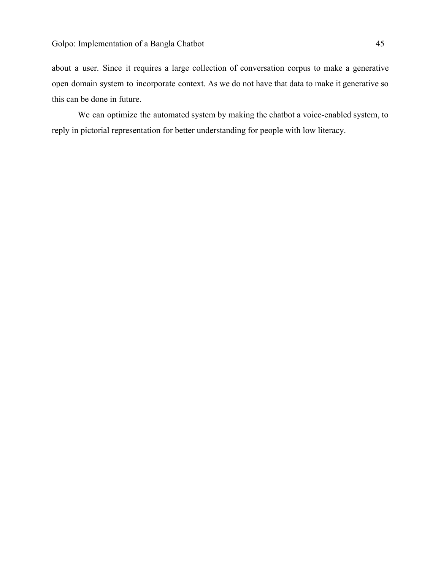about a user. Since it requires a large collection of conversation corpus to make a generative open domain system to incorporate context. As we do not have that data to make it generative so this can be done in future.

We can optimize the automated system by making the chatbot a voice-enabled system, to reply in pictorial representation for better understanding for people with low literacy.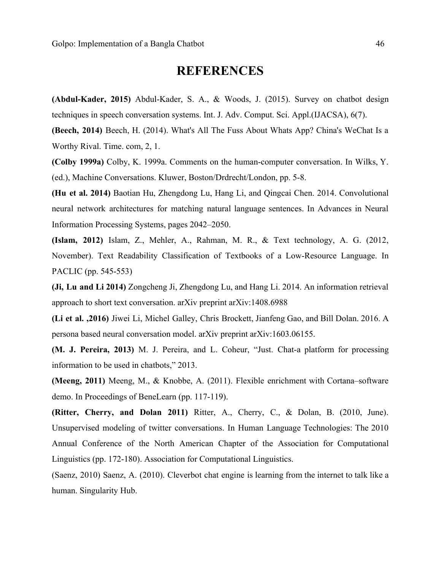### **REFERENCES**

<span id="page-45-0"></span>**(Abdul-Kader, 2015)** Abdul-Kader, S. A., & Woods, J. (2015). Survey on chatbot design techniques in speech conversation systems. Int. J. Adv. Comput. Sci. Appl.(IJACSA), 6(7).

**(Beech, 2014)** Beech, H. (2014). What's All The Fuss About Whats App? China's WeChat Is a Worthy Rival. Time. com, 2, 1.

**(Colby 1999a)** Colby, K. 1999a. Comments on the human-computer conversation. In Wilks, Y. (ed.), Machine Conversations. Kluwer, Boston/Drdrecht/London, pp. 5-8.

**(Hu et al. 2014)** Baotian Hu, Zhengdong Lu, Hang Li, and Qingcai Chen. 2014. Convolutional neural network architectures for matching natural language sentences. In Advances in Neural Information Processing Systems, pages 2042–2050.

**(Islam, 2012)** Islam, Z., Mehler, A., Rahman, M. R., & Text technology, A. G. (2012, November). Text Readability Classification of Textbooks of a Low-Resource Language. In PACLIC (pp. 545-553)

**(Ji, Lu and Li 2014)** Zongcheng Ji, Zhengdong Lu, and Hang Li. 2014. An information retrieval approach to short text conversation. arXiv preprint arXiv:1408.6988

**(Li et al. ,2016)** Jiwei Li, Michel Galley, Chris Brockett, Jianfeng Gao, and Bill Dolan. 2016. A persona based neural conversation model. arXiv preprint arXiv:1603.06155.

**(M. J. Pereira, 2013)** M. J. Pereira, and L. Coheur, "Just. Chat-a platform for processing information to be used in chatbots," 2013.

**(Meeng, 2011)** Meeng, M., & Knobbe, A. (2011). Flexible enrichment with Cortana–software demo. In Proceedings of BeneLearn (pp. 117-119).

**(Ritter, Cherry, and Dolan 2011)** Ritter, A., Cherry, C., & Dolan, B. (2010, June). Unsupervised modeling of twitter conversations. In Human Language Technologies: The 2010 Annual Conference of the North American Chapter of the Association for Computational Linguistics (pp. 172-180). Association for Computational Linguistics.

(Saenz, 2010) Saenz, A. (2010). Cleverbot chat engine is learning from the internet to talk like a human. Singularity Hub.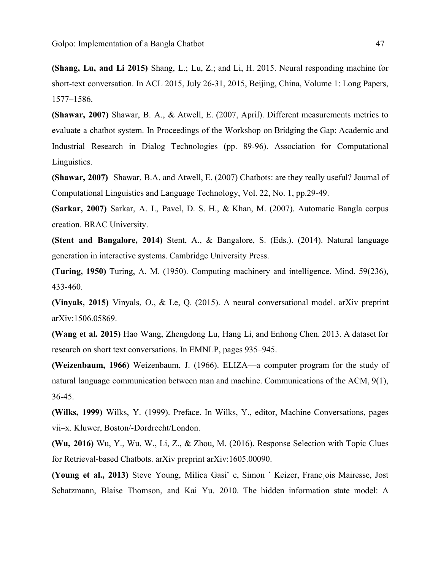**(Shang, Lu, and Li 2015)** Shang, L.; Lu, Z.; and Li, H. 2015. Neural responding machine for short-text conversation. In ACL 2015, July 26-31, 2015, Beijing, China, Volume 1: Long Papers, 1577–1586.

**(Shawar, 2007)** Shawar, B. A., & Atwell, E. (2007, April). Different measurements metrics to evaluate a chatbot system. In Proceedings of the Workshop on Bridging the Gap: Academic and Industrial Research in Dialog Technologies (pp. 89-96). Association for Computational Linguistics.

**(Shawar, 2007)** Shawar, B.A. and Atwell, E. (2007) Chatbots: are they really useful? Journal of Computational Linguistics and Language Technology, Vol. 22, No. 1, pp.29-49.

**(Sarkar, 2007)** Sarkar, A. I., Pavel, D. S. H., & Khan, M. (2007). Automatic Bangla corpus creation. BRAC University.

**(Stent and Bangalore, 2014)** Stent, A., & Bangalore, S. (Eds.). (2014). Natural language generation in interactive systems. Cambridge University Press.

**(Turing, 1950)** Turing, A. M. (1950). Computing machinery and intelligence. Mind, 59(236), 433-460.

**(Vinyals, 2015)** Vinyals, O., & Le, Q. (2015). A neural conversational model. arXiv preprint arXiv:1506.05869.

**(Wang et al. 2015)** Hao Wang, Zhengdong Lu, Hang Li, and Enhong Chen. 2013. A dataset for research on short text conversations. In EMNLP, pages 935–945.

**(Weizenbaum, 1966)** Weizenbaum, J. (1966). ELIZA—a computer program for the study of natural language communication between man and machine. Communications of the ACM, 9(1), 36-45.

**(Wilks, 1999)** Wilks, Y. (1999). Preface. In Wilks, Y., editor, Machine Conversations, pages vii–x. Kluwer, Boston/-Dordrecht/London.

**(Wu, 2016)** Wu, Y., Wu, W., Li, Z., & Zhou, M. (2016). Response Selection with Topic Clues for Retrieval-based Chatbots. arXiv preprint arXiv:1605.00090.

**(Young et al., 2013)** Steve Young, Milica Gasiˇ c, Simon ´ Keizer, Franc¸ois Mairesse, Jost Schatzmann, Blaise Thomson, and Kai Yu. 2010. The hidden information state model: A